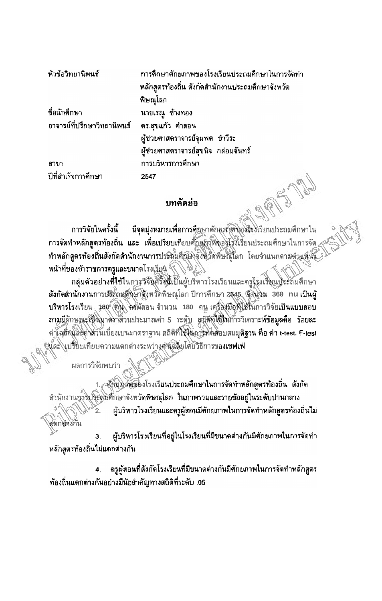| หัวข้อวิทยานิพนธ์           | ้การศึกษาศักยภาพของโรงเรียนประถมศึกษาในการจัดทำ  |
|-----------------------------|--------------------------------------------------|
|                             | หลักสูตรท้องถิ่น สังกัดสำนักงานประถมศึกษาจังหวัด |
|                             | พิษณุโลก                                         |
| ชื่อนักศึกษา                | นายเรณู ช้างทอง                                  |
| อาจารย์ที่ปรึกษาวิทยานิพนธ์ | ิดร.สุขแก้ว คำสอน                                |
|                             | ผู้ช่วยศาสตราจารย์จุมพด ขำวีระ                   |
|                             | ผู้ช่วยศาสตราจารย์สุขนิจ กล่อมจันทร์             |
| สาขา                        | การบริหารการศึกษา                                |
| ปีที่สำเร็จการศึกษา         | 2547<br>$-0.05$                                  |

## บทคัดย่อ

同同 มีจุดมุ่งหมายเพื่อการคืกษาศักยุภาพของโรงเรียนประถมศึกษาใน การวิจัยในครั้งนี้ การจัดทำหลัก**สูตรท้องถิ่น และ เพื่อเปรียบเทียบตั**กมูญพิพิพูอปรรมรือนประถมศึกษาในการจัด ทำหลัก**สูตรท้องถิ่นสังกัดสำนักงาน**การประสมคัญอิงจังหวัดพิษณุโลก โดยจำแนกดามดำแห้นั้ง หน้าที่ของข้าราชการครูและขนาดโรง<u>เรีย</u>น <sup>ผ</sup>้

กลุ่มด้วอย่างที่ใช้ในการจีจิตศ์รังนี้เป็นผู้บริหารโรงเรียนและครูโรงเริ่มนูประถมศึกษา สังกัดสำนักงานการประถมติกษาสิงหวัดพิษณุโลก ปีการศึกษา 2545 พิพิษณ 360 nu เป็นผู้ บริหารโรงเรียน 180 ติน คสผัสอน จำนวน 180 คน เครื่องมือที่ใช้ในการวิจัยเป็นแบบสอบ ถามมีลักษณะเป็นมาติราส่วนประมาณค่า 5 ระดับ สถิติที่ใช้ในการวิเคราะห์ข้อมูลคือ ร้อยละ ค่าเฉลี่ยและค่าส่วนเบี่ยงเบนมาตราฐาน สถิติที่ใช้ในการทั้งสอบสมมุติฐาน คือ ค่า t-test. F-test นเ้ละ\\บรียบเทียบความแดกต่างระหว่างต้นได้ยับโดยวิธีการขอ**งเชฟเฟ่** 

ผลการวิจัยพบว่า

เจ็กก่อวังกัน

สุกัยภาพของโรงเรียนประถมศึกษาในการจัดทำหลักสูตรท้องถิ่น สังกัด ้สำนักงานอางประสมศึกษาจังหวัดพิษณุโลก ในภาพรวมและรายข้ออยู่ในระดับปานกลาง ผู้บริหารโรงเรียนและครูผู้สอนมีศักยภาพในการจัดทำหลักสูตรท้องถิ่นไม่

ผู้บริหารโรงเรียนที่อยู่ในโรงเรียนที่มีขนาดด่างกันมีศักยภาพในการจัดทำ  $\overline{3}$ . หลักสูตรท้องถิ่นไม่แตกต่างกัน

ครูผู้สอนที่สังกัดโรงเรียนที่มีขนาดต่างกันมีศักยภาพในการจัดทำหลักสูตร  $\ddot{4}$ . ท้องถิ่นแตกต่างกันอย่างมีนัยสำคัญทางสถิติที่ระดับ .05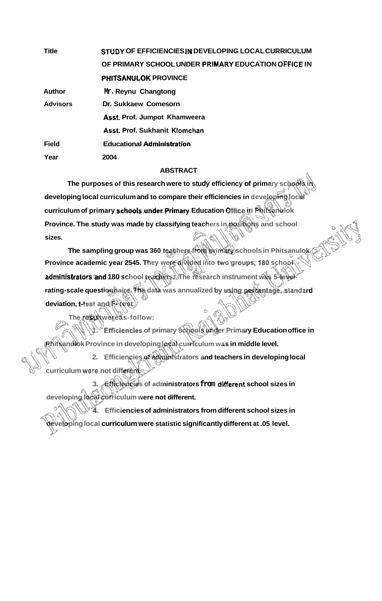| <b>Title</b>    | STUDY OF EFFICIENCIES IN DEVELOPING LOCAL CURRICULUM |
|-----------------|------------------------------------------------------|
|                 | OF PRIMARY SCHOOL UNDER PRIMARY EDUCATION OFFICE IN  |
|                 | <b>PHITSANULOK PROVINCE</b>                          |
| Author          | Mr. Reynu Changtong                                  |
| <b>Advisors</b> | Dr. Sukkaew Comesorn                                 |
|                 | Asst. Prof. Jumpot Khamweera                         |
|                 | Asst. Prof. Sukhanit Klomchan                        |
| <b>Field</b>    | <b>Educational Administration</b>                    |
| Year            | 2004                                                 |

## **ABSTRACT**

The purposes of this research were to study efficiency of primary schools **developing local curriculum and to compare their efficiencies in developing local curriculum of primary schoolsunderPrimary Education Office in Phitsanulok Province. The study was made by classifying teachers in positions and school sizes.** 

The sampling group was 360 teachers from primary schools in Phitsanulok **Province academic year 2545. They were divided into two groups; 180 school** administrators and 180 school teachers. The research instrument was 5-levelrating-scale questionnaire. The data was annualized by using percentage, standard **deviation, t-test and F- test** 

**The resu Itwereas-follow:** 

**1.** Efficiencies **of primary schools under Primary Education office in Phitsanulok Province in developing local curriculum was in middle level.** 

**2. Efficiencies of administrators and teachers in developing local curriculum wefe not different.** 

**3. Efficiencies of administrators from different school sizes in developing local curriculum were not different.** 

**4, Efficiencies of administrators from different school sizes in developing local curriculum were statistic significantly different at .05 level.**